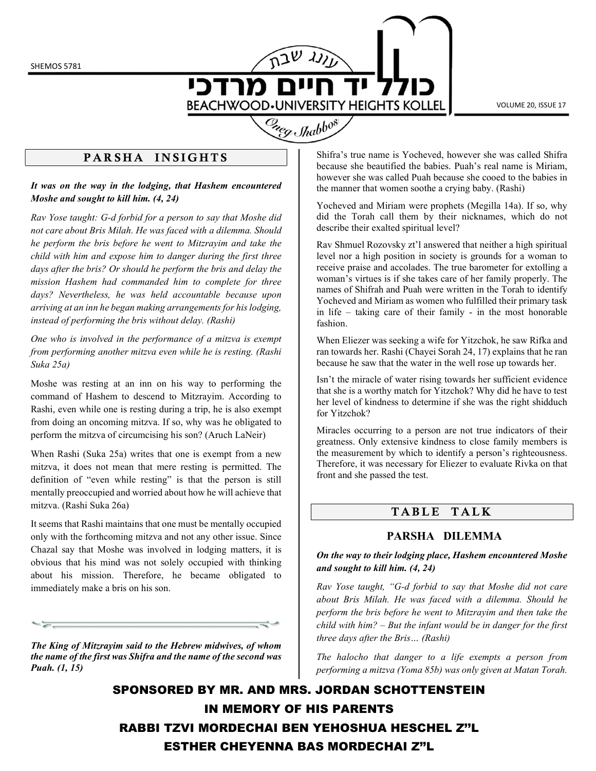SHEMOS 5781

מרדכי **BEACHWOOD.UNIVERSITY HEIGHTS KOLLEL** 

VOLUME 20, ISSUE 17

# Creg Shabbos

# PARSHA INSIGHTS

It was on the way in the lodging, that Hashem encountered Moshe and sought to kill him. (4, 24)

Rav Yose taught: G-d forbid for a person to say that Moshe did not care about Bris Milah. He was faced with a dilemma. Should he perform the bris before he went to Mitzrayim and take the child with him and expose him to danger during the first three days after the bris? Or should he perform the bris and delay the mission Hashem had commanded him to complete for three days? Nevertheless, he was held accountable because upon arriving at an inn he began making arrangements for his lodging, instead of performing the bris without delay. (Rashi)

One who is involved in the performance of a mitzva is exempt from performing another mitzva even while he is resting. (Rashi Suka 25a)

Moshe was resting at an inn on his way to performing the command of Hashem to descend to Mitzrayim. According to Rashi, even while one is resting during a trip, he is also exempt from doing an oncoming mitzva. If so, why was he obligated to perform the mitzva of circumcising his son? (Aruch LaNeir)

When Rashi (Suka 25a) writes that one is exempt from a new mitzva, it does not mean that mere resting is permitted. The definition of "even while resting" is that the person is still mentally preoccupied and worried about how he will achieve that mitzva. (Rashi Suka 26a)

It seems that Rashi maintains that one must be mentally occupied only with the forthcoming mitzva and not any other issue. Since Chazal say that Moshe was involved in lodging matters, it is obvious that his mind was not solely occupied with thinking about his mission. Therefore, he became obligated to immediately make a bris on his son.

The King of Mitzrayim said to the Hebrew midwives, of whom the name of the first was Shifra and the name of the second was Puah. (1, 15)

Shifra's true name is Yocheved, however she was called Shifra because she beautified the babies. Puah's real name is Miriam, however she was called Puah because she cooed to the babies in the manner that women soothe a crying baby. (Rashi)

Yocheved and Miriam were prophets (Megilla 14a). If so, why did the Torah call them by their nicknames, which do not describe their exalted spiritual level?

Rav Shmuel Rozovsky zt'l answered that neither a high spiritual level nor a high position in society is grounds for a woman to receive praise and accolades. The true barometer for extolling a woman's virtues is if she takes care of her family properly. The names of Shifrah and Puah were written in the Torah to identify Yocheved and Miriam as women who fulfilled their primary task in life – taking care of their family - in the most honorable fashion.

When Eliezer was seeking a wife for Yitzchok, he saw Rifka and ran towards her. Rashi (Chayei Sorah 24, 17) explains that he ran because he saw that the water in the well rose up towards her.

Isn't the miracle of water rising towards her sufficient evidence that she is a worthy match for Yitzchok? Why did he have to test her level of kindness to determine if she was the right shidduch for Yitzchok?

Miracles occurring to a person are not true indicators of their greatness. Only extensive kindness to close family members is the measurement by which to identify a person's righteousness. Therefore, it was necessary for Eliezer to evaluate Rivka on that front and she passed the test.

# TABLE TALK

## PARSHA DILEMMA

#### On the way to their lodging place, Hashem encountered Moshe and sought to kill him. (4, 24)

Rav Yose taught, "G-d forbid to say that Moshe did not care about Bris Milah. He was faced with a dilemma. Should he perform the bris before he went to Mitzrayim and then take the child with him? – But the infant would be in danger for the first three days after the Bris… (Rashi)

The halocho that danger to a life exempts a person from performing a mitzva (Yoma 85b) was only given at Matan Torah.

SPONSORED BY MR. AND MRS. JORDAN SCHOTTENSTEIN IN MEMORY OF HIS PARENTS RABBI TZVI MORDECHAI BEN YEHOSHUA HESCHEL Z''L ESTHER CHEYENNA BAS MORDECHAI Z''L